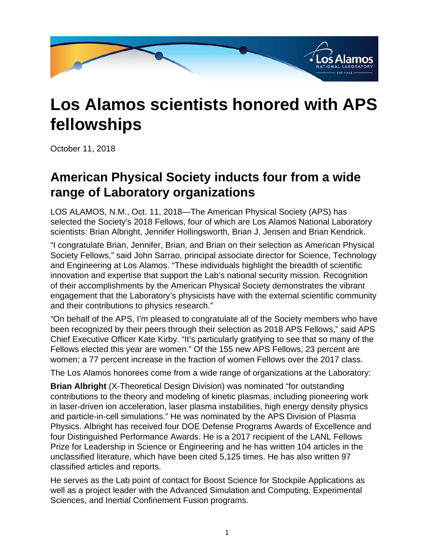

## **Los Alamos scientists honored with APS fellowships**

October 11, 2018

## **American Physical Society inducts four from a wide range of Laboratory organizations**

LOS ALAMOS, N.M., Oct. 11, 2018—The American Physical Society (APS) has selected the Society's 2018 Fellows, four of which are Los Alamos National Laboratory scientists: Brian Albright, Jennifer Hollingsworth, Brian J. Jensen and Brian Kendrick.

"I congratulate Brian, Jennifer, Brian, and Brian on their selection as American Physical Society Fellows," said John Sarrao, principal associate director for Science, Technology and Engineering at Los Alamos. "These individuals highlight the breadth of scientific innovation and expertise that support the Lab's national security mission. Recognition of their accomplishments by the American Physical Society demonstrates the vibrant engagement that the Laboratory's physicists have with the external scientific community and their contributions to physics research."

"On behalf of the APS, I'm pleased to congratulate all of the Society members who have been recognized by their peers through their selection as 2018 APS Fellows," said APS Chief Executive Officer Kate Kirby. "It's particularly gratifying to see that so many of the Fellows elected this year are women." Of the 155 new APS Fellows, 23 percent are women; a 77 percent increase in the fraction of women Fellows over the 2017 class.

The Los Alamos honorees come from a wide range of organizations at the Laboratory:

**Brian Albright** (X-Theoretical Design Division) was nominated "for outstanding contributions to the theory and modeling of kinetic plasmas, including pioneering work in laser-driven ion acceleration, laser plasma instabilities, high energy density physics and particle-in-cell simulations." He was nominated by the APS Division of Plasma Physics. Albright has received four DOE Defense Programs Awards of Excellence and four Distinguished Performance Awards. He is a 2017 recipient of the LANL Fellows Prize for Leadership in Science or Engineering and he has written 104 articles in the unclassified literature, which have been cited 5,125 times. He has also written 97 classified articles and reports.

He serves as the Lab point of contact for Boost Science for Stockpile Applications as well as a project leader with the Advanced Simulation and Computing, Experimental Sciences, and Inertial Confinement Fusion programs.